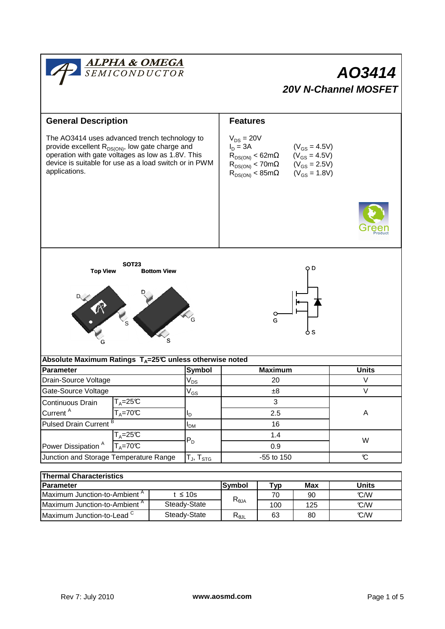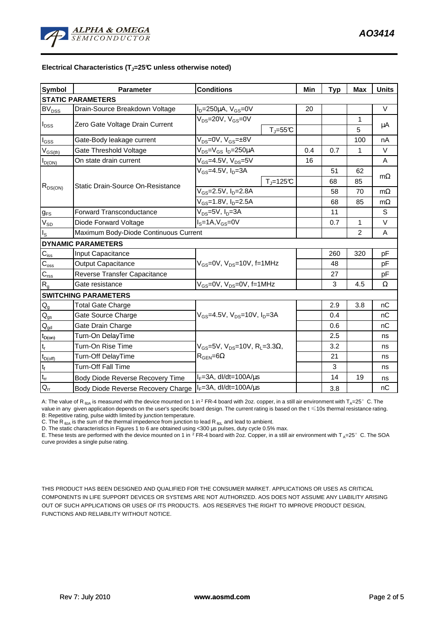

## **Electrical Characteristics (TJ=25°C unless otherwise noted)**

| <b>Symbol</b>               | <b>Parameter</b>                      | <b>Conditions</b>                                                                         |                              | Min | <b>Typ</b> | <b>Max</b>     | <b>Units</b> |
|-----------------------------|---------------------------------------|-------------------------------------------------------------------------------------------|------------------------------|-----|------------|----------------|--------------|
| <b>STATIC PARAMETERS</b>    |                                       |                                                                                           |                              |     |            |                |              |
| BV <sub>DSS</sub>           | Drain-Source Breakdown Voltage        | $I_D = 250 \mu A$ , $V_{GS} = 0V$                                                         |                              | 20  |            |                | $\vee$       |
| $I_{DSS}$                   | Zero Gate Voltage Drain Current       | $V_{DS}$ =20V, $V_{GS}$ =0V                                                               |                              |     |            | 1              |              |
|                             |                                       |                                                                                           | $T_{\text{J}} = 55^{\circ}C$ |     |            | 5              | μA           |
| $I_{GSS}$                   | Gate-Body leakage current             | $V_{DS} = 0V$ , $V_{GS} = \pm 8V$                                                         |                              |     |            | 100            | nA           |
| $V_{GS(th)}$                | Gate Threshold Voltage                | V <sub>DS</sub> =V <sub>GS</sub> I <sub>D</sub> =250µA                                    |                              | 0.4 | 0.7        | $\mathbf{1}$   | $\vee$       |
| $I_{D(ON)}$                 | On state drain current                | $V_{GS} = 4.5V$ , $V_{DS} = 5V$                                                           |                              | 16  |            |                | A            |
| $R_{DS(ON)}$                | Static Drain-Source On-Resistance     | $V_{GS} = 4.5V$ , $I_D = 3A$                                                              |                              |     | 51         | 62             | $m\Omega$    |
|                             |                                       |                                                                                           | $T_{\text{J}}$ =125°C        |     | 68         | 85             |              |
|                             |                                       | V <sub>GS</sub> =2.5V, I <sub>D</sub> =2.8A                                               |                              |     | 58         | 70             | $m\Omega$    |
|                             |                                       | $V_{GS}$ =1.8V, $I_{D}$ =2.5A                                                             |                              |     | 68         | 85             | $m\Omega$    |
| $g_{FS}$                    | <b>Forward Transconductance</b>       | $V_{DS} = 5V$ , $I_D = 3A$                                                                |                              |     | 11         |                | S            |
| $V_{SD}$                    | Diode Forward Voltage                 | $IS=1A, VGS=0V$                                                                           |                              |     | 0.7        | 1              | $\vee$       |
| $I_{\rm S}$                 | Maximum Body-Diode Continuous Current |                                                                                           |                              |     |            | $\overline{2}$ | A            |
|                             | <b>DYNAMIC PARAMETERS</b>             |                                                                                           |                              |     |            |                |              |
| $C_{\text{iss}}$            | Input Capacitance                     | $V_{GS}$ =0V, $V_{DS}$ =10V, f=1MHz                                                       |                              |     | 260        | 320            | pF           |
| $\mathsf{C}_{\mathsf{oss}}$ | Output Capacitance                    |                                                                                           |                              |     | 48         |                | рF           |
| $C_{\rm rss}$               | Reverse Transfer Capacitance          |                                                                                           |                              |     | 27         |                | рF           |
| $R_{g}$                     | Gate resistance                       | $V_{GS}$ =0V, $V_{DS}$ =0V, f=1MHz                                                        |                              |     | 3          | 4.5            | Ω            |
|                             | <b>SWITCHING PARAMETERS</b>           |                                                                                           |                              |     |            |                |              |
| $\mathsf{Q}_{\mathsf{g}}$   | <b>Total Gate Charge</b>              | $V_{GS}$ =4.5V, $V_{DS}$ =10V, $I_{D}$ =3A                                                |                              |     | 2.9        | 3.8            | nC           |
| $Q_{gs}$                    | Gate Source Charge                    |                                                                                           |                              |     | 0.4        |                | nC           |
| $Q_{\text{gd}}$             | Gate Drain Charge                     |                                                                                           |                              |     | 0.6        |                | nC           |
| $t_{D(on)}$                 | Turn-On DelayTime                     | $V_{GS}$ =5V, $V_{DS}$ =10V, R <sub>L</sub> =3.3 $\Omega$ ,<br>$R_{\text{GEN}} = 6\Omega$ |                              |     | 2.5        |                | ns           |
| $t_r$                       | Turn-On Rise Time                     |                                                                                           |                              |     | 3.2        |                | ns           |
| $t_{D(\text{off})}$         | <b>Turn-Off DelayTime</b>             |                                                                                           |                              |     | 21         |                | ns           |
| $\mathbf{t}_\text{f}$       | <b>Turn-Off Fall Time</b>             |                                                                                           |                              |     | 3          |                | ns           |
| $t_{rr}$                    | Body Diode Reverse Recovery Time      | $I_F = 3A$ , dl/dt=100A/ $\mu$ s                                                          |                              |     | 14         | 19             | ns           |
| $Q_{rr}$                    | Body Diode Reverse Recovery Charge    | $I_F = 3A$ , dl/dt=100A/us                                                                |                              |     | 3.8        |                | nC           |

A: The value of R<sub>eJA</sub> is measured with the device mounted on 1 in <sup>2</sup> FR-4 board with 2oz. copper, in a still air environment with  $T_A=25^\circ$  C. The value in any given application depends on the user's specific board design. The current rating is based on the t ≤10s thermal resistance rating. B: Repetitive rating, pulse width limited by junction temperature.

C. The R<sub>θJA</sub> is the sum of the thermal impedence from junction to lead R<sub>θJL</sub> and lead to ambient.

D. The static characteristics in Figures 1 to 6 are obtained using <300 µs pulses, duty cycle 0.5% max.

E. These tests are performed with the device mounted on 1 in <sup>2</sup> FR-4 board with 2oz. Copper, in a still air environment with T<sub>A</sub>=25°C. The SOA<br>Curve provides a single pulse rating curve provides a single pulse rating.

THIS PRODUCT HAS BEEN DESIGNED AND QUALIFIED FOR THE CONSUMER MARKET. APPLICATIONS OR USES AS CRITICAL COMPONENTS IN LIFE SUPPORT DEVICES OR SYSTEMS ARE NOT AUTHORIZED. AOS DOES NOT ASSUME ANY LIABILITY ARISING OUT OF SUCH APPLICATIONS OR USES OF ITS PRODUCTS. AOS RESERVES THE RIGHT TO IMPROVE PRODUCT DESIGN, FUNCTIONS AND RELIABILITY WITHOUT NOTICE.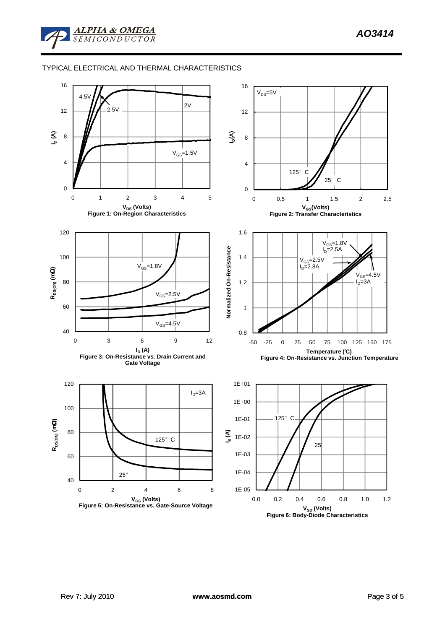## TYPICAL ELECTRICAL AND THERMAL CHARACTERISTICS

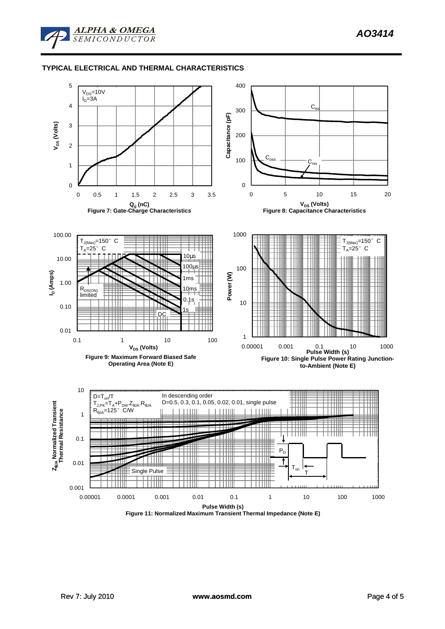

## **TYPICAL ELECTRICAL AND THERMAL CHARACTERISTICS**



**Figure 11: Normalized Maximum Transient Thermal Impedance (Note E)**